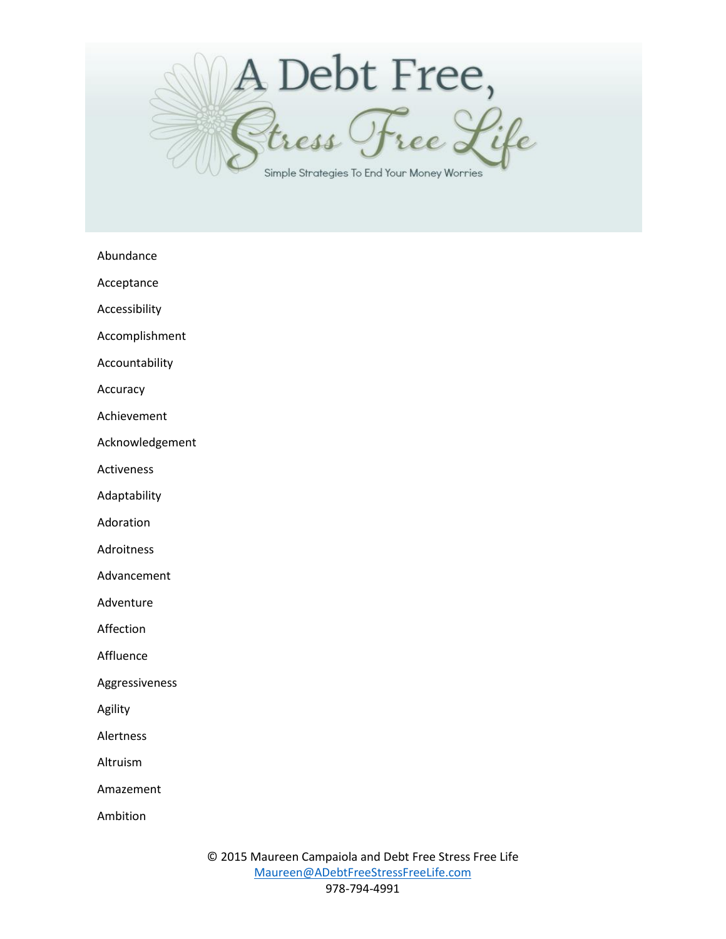

Abundance

Acceptance

Accessibility

Accomplishment

Accountability

Accuracy

Achievement

Acknowledgement

Activeness

Adaptability

Adoration

Adroitness

Advancement

Adventure

Affection

Affluence

Aggressiveness

Agility

Alertness

Altruism

Amazement

Ambition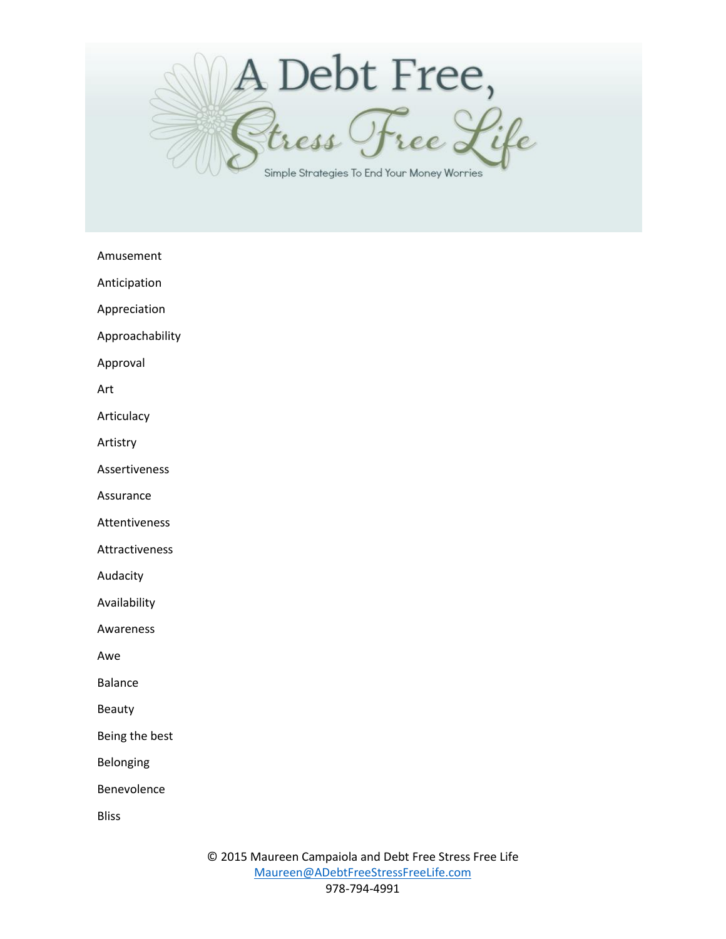

Amusement

Anticipation

Appreciation

Approachability

Approval

Art

Articulacy

Artistry

Assertiveness

Assurance

Attentiveness

Attractiveness

Audacity

Availability

Awareness

Awe

Balance

Beauty

Being the best

Belonging

Benevolence

Bliss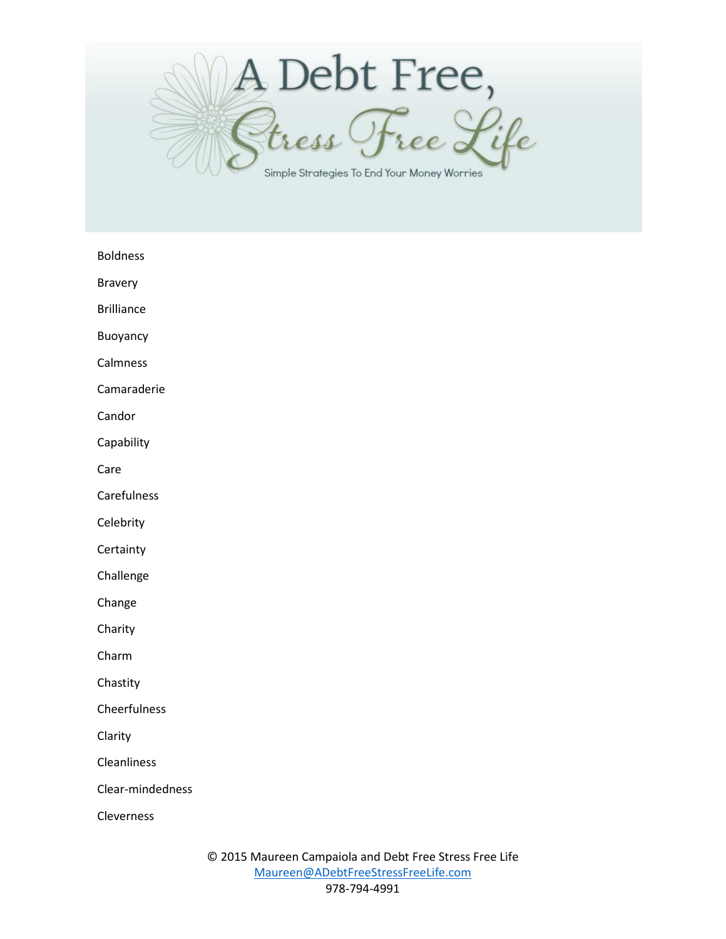

Boldness

Bravery

Brilliance

Buoyancy

Calmness

Camaraderie

Candor

Capability

Care

Carefulness

**Celebrity** 

**Certainty** 

Challenge

Change

Charity

Charm

Chastity

Cheerfulness

Clarity

Cleanliness

Clear-mindedness

Cleverness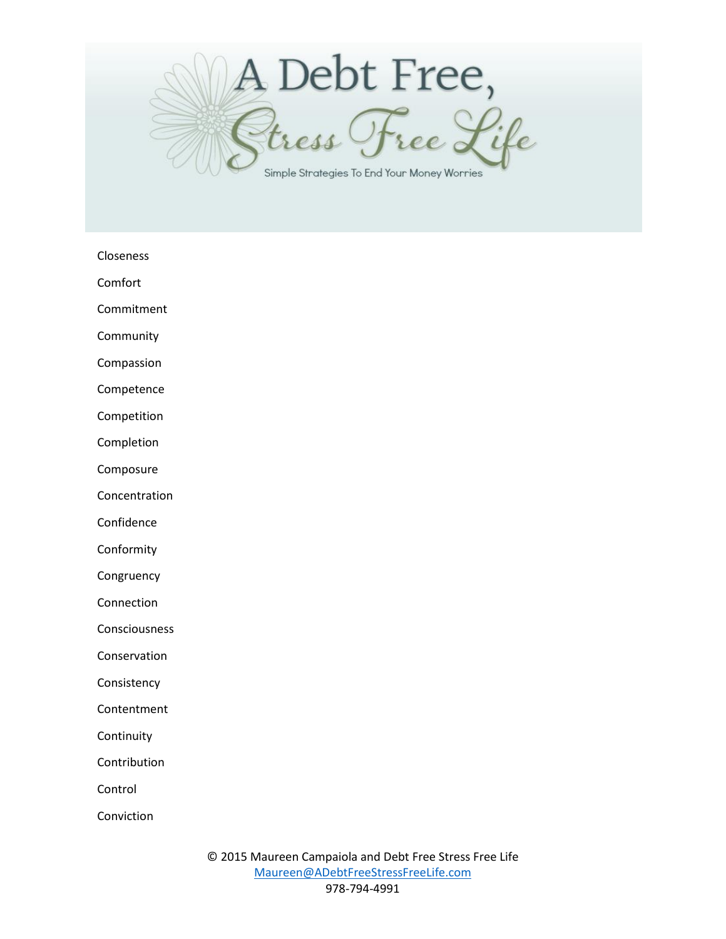

Closeness

Comfort

Commitment

Community

Compassion

Competence

Competition

Completion

Composure

Concentration

Confidence

Conformity

**Congruency** 

Connection

Consciousness

Conservation

Consistency

**Contentment** 

**Continuity** 

Contribution

Control

Conviction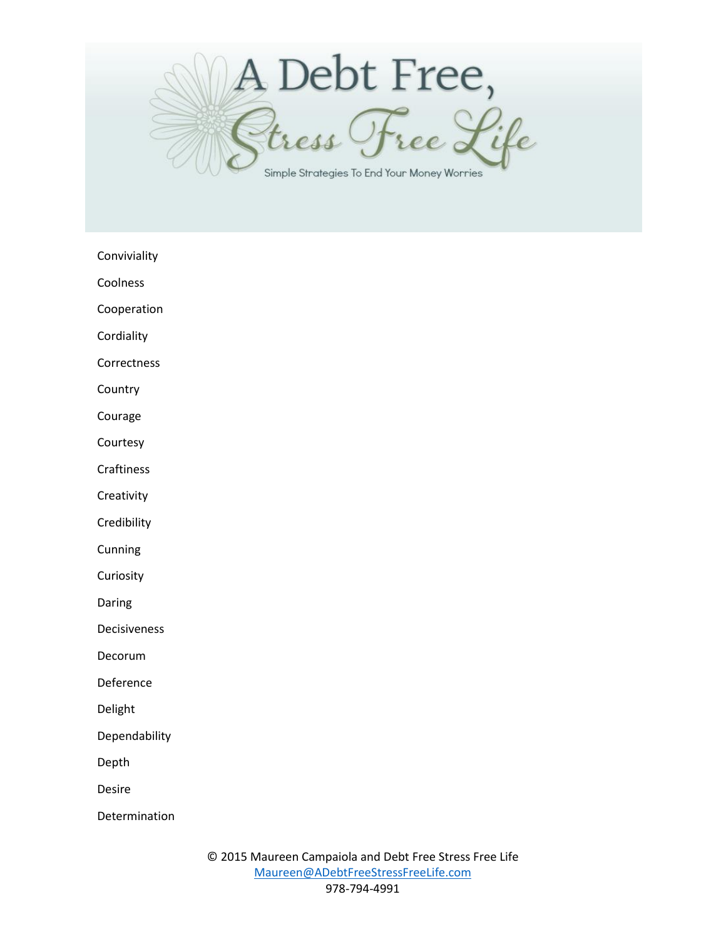

Conviviality

Coolness

Cooperation

**Cordiality** 

Correctness

**Country** 

Courage

Courtesy

Craftiness

**Creativity** 

**Credibility** 

**Cunning** 

**Curiosity** 

Daring

Decisiveness

Decorum

Deference

Delight

Dependability

Depth

Desire

Determination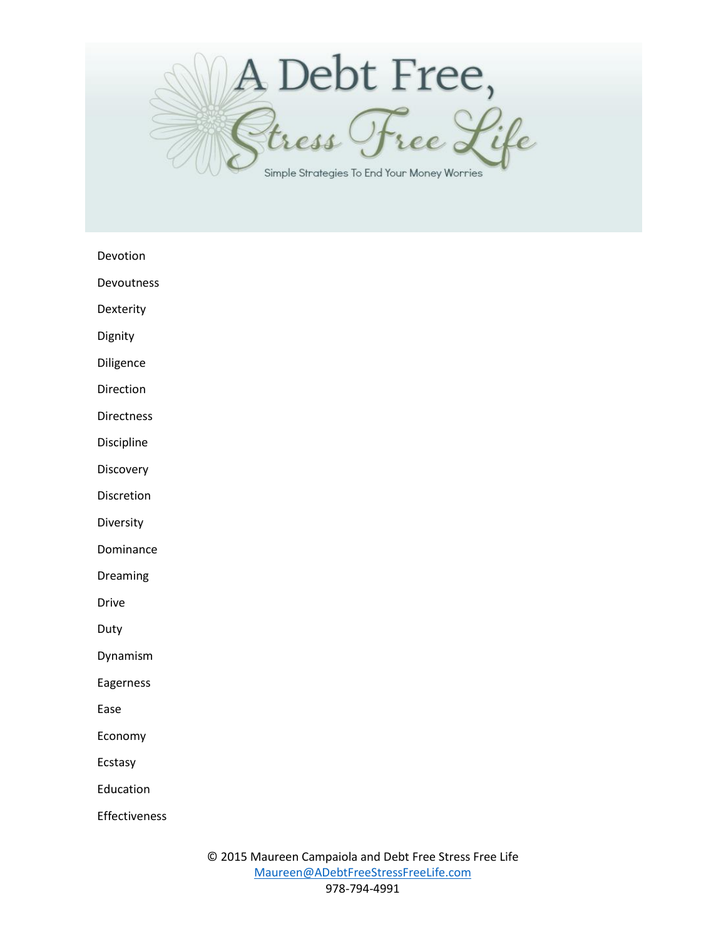

Devotion

Devoutness

Dexterity

Dignity

Diligence

Direction

Directness

Discipline

**Discovery** 

Discretion

Diversity

Dominance

Dreaming

Drive

Duty

Dynamism

Eagerness

Ease

Economy

Ecstasy

Education

Effectiveness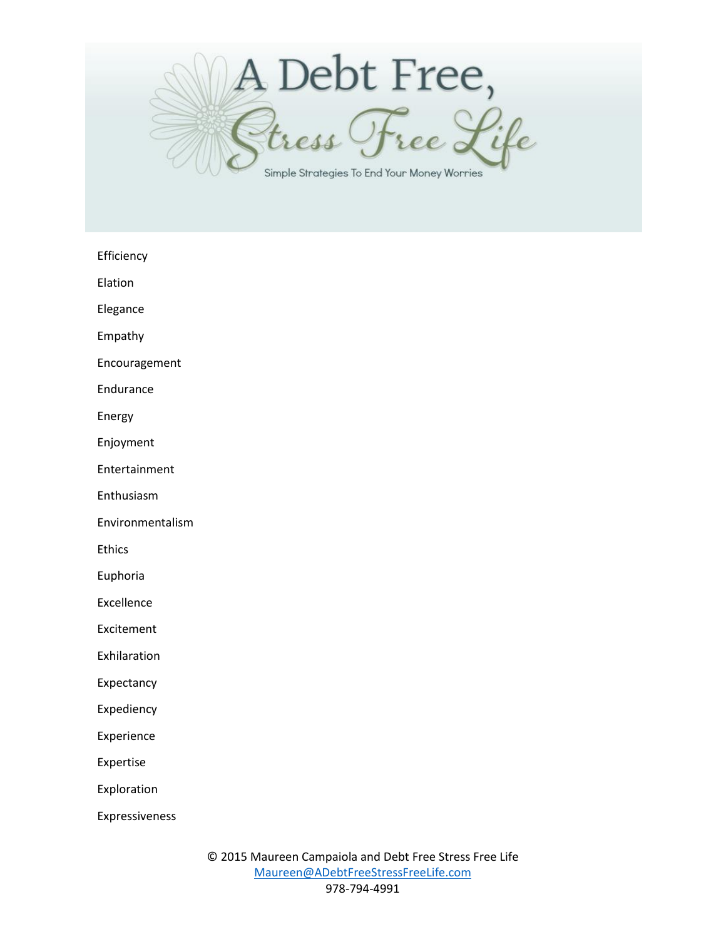

Efficiency

Elation

Elegance

Empathy

Encouragement

Endurance

Energy

Enjoyment

Entertainment

Enthusiasm

Environmentalism

Ethics

Euphoria

Excellence

Excitement

Exhilaration

Expectancy

Expediency

Experience

Expertise

Exploration

Expressiveness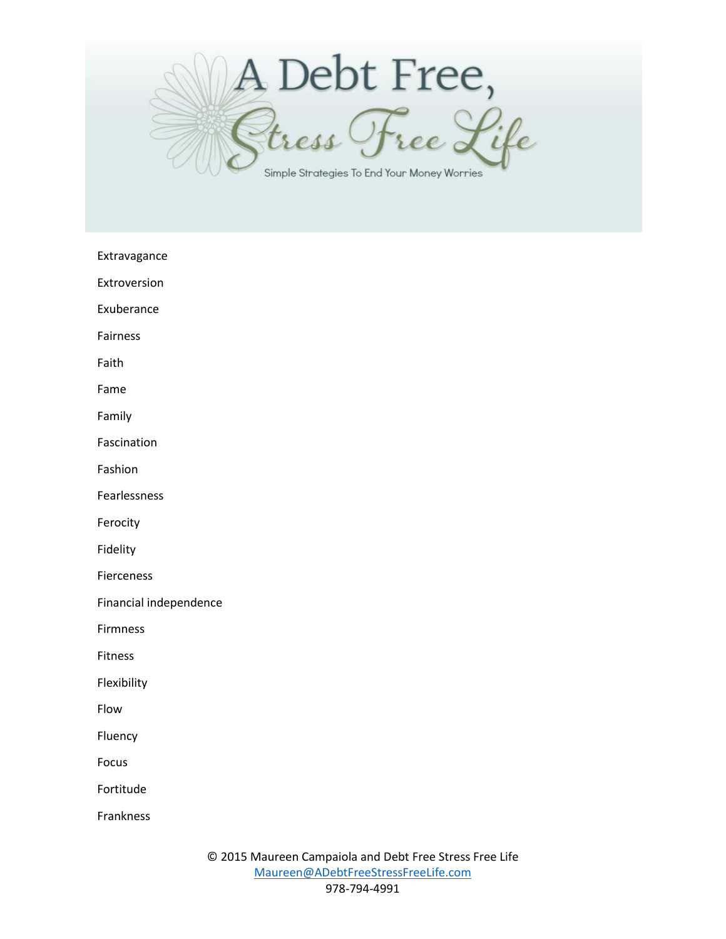

Extravagance

Extroversion

Exuberance

Fairness

Faith

Fame

Family

Fascination

Fashion

Fearlessness

Ferocity

Fidelity

Fierceness

Financial independence

Firmness

Fitness

Flexibility

Flow

Fluency

Focus

Fortitude

Frankness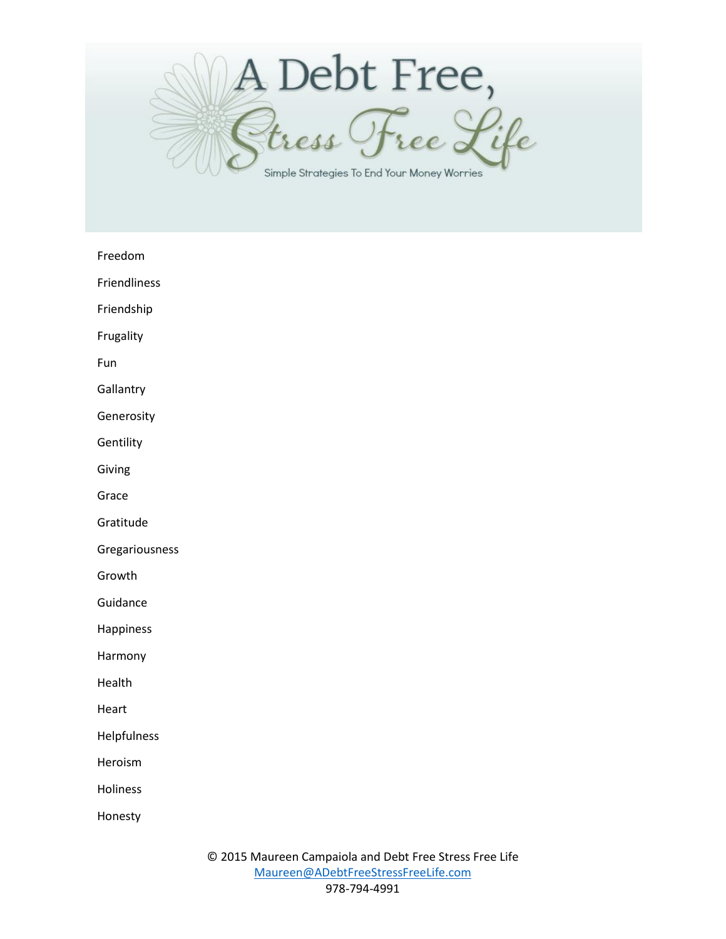

Freedom

Friendliness

Friendship

Frugality

Fun

**Gallantry** 

Generosity

**Gentility** 

Giving

Grace

Gratitude

Gregariousness

Growth

Guidance

Happiness

Harmony

Health

Heart

Helpfulness

Heroism

Holiness

Honesty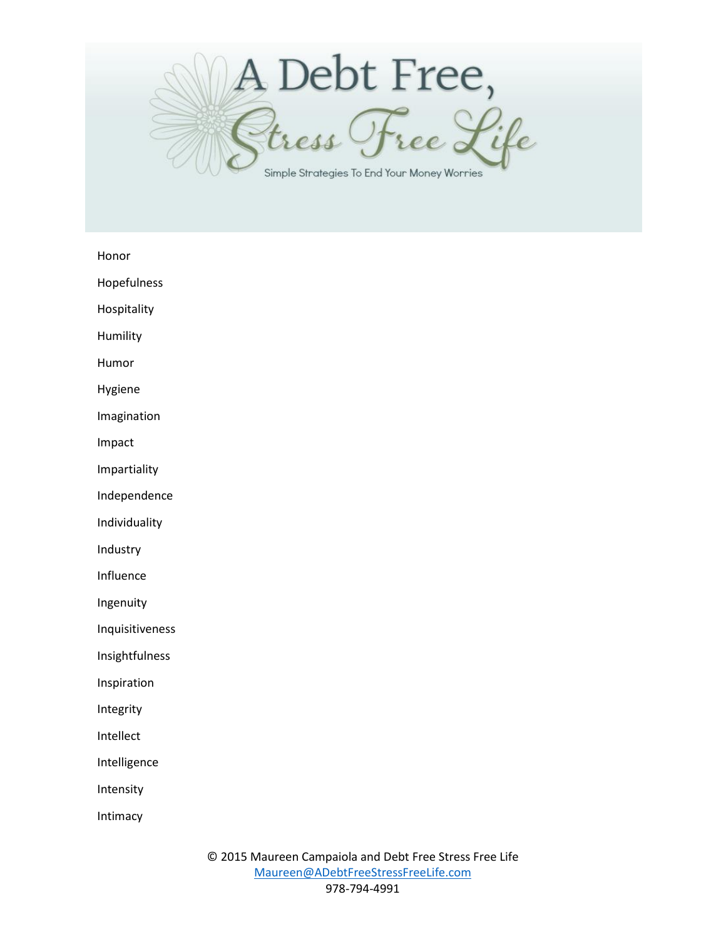

Honor

Hopefulness

Hospitality

Humility

Humor

Hygiene

Imagination

Impact

Impartiality

Independence

Individuality

Industry

Influence

Ingenuity

Inquisitiveness

Insightfulness

Inspiration

Integrity

Intellect

Intelligence

Intensity

Intimacy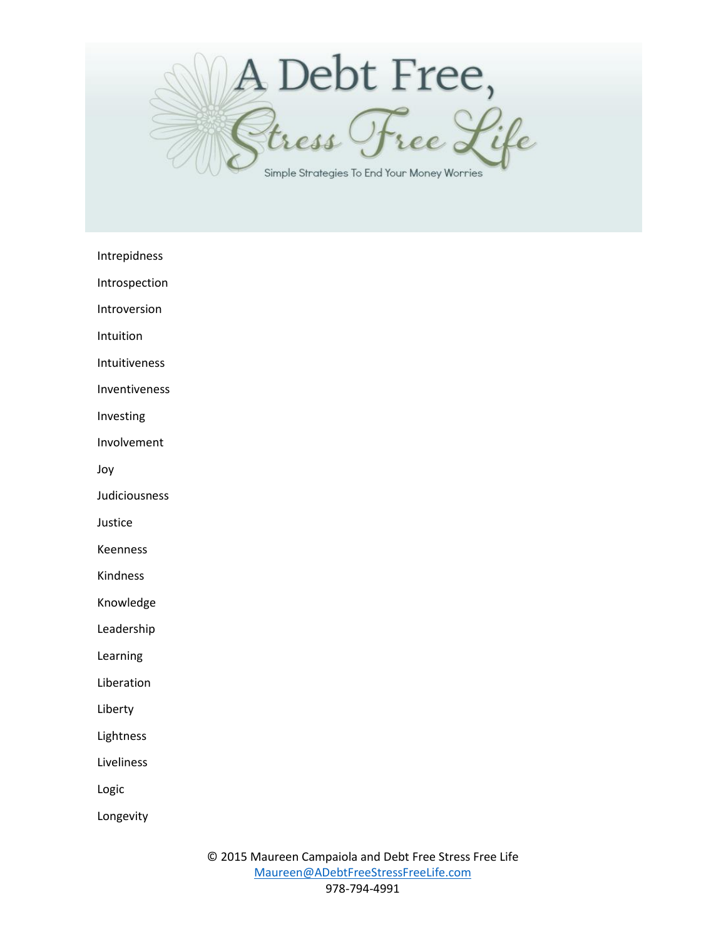

Intrepidness

Introspection

Introversion

Intuition

Intuitiveness

Inventiveness

Investing

Involvement

Joy

Judiciousness

Justice

Keenness

Kindness

Knowledge

Leadership

Learning

Liberation

Liberty

Lightness

Liveliness

Logic

Longevity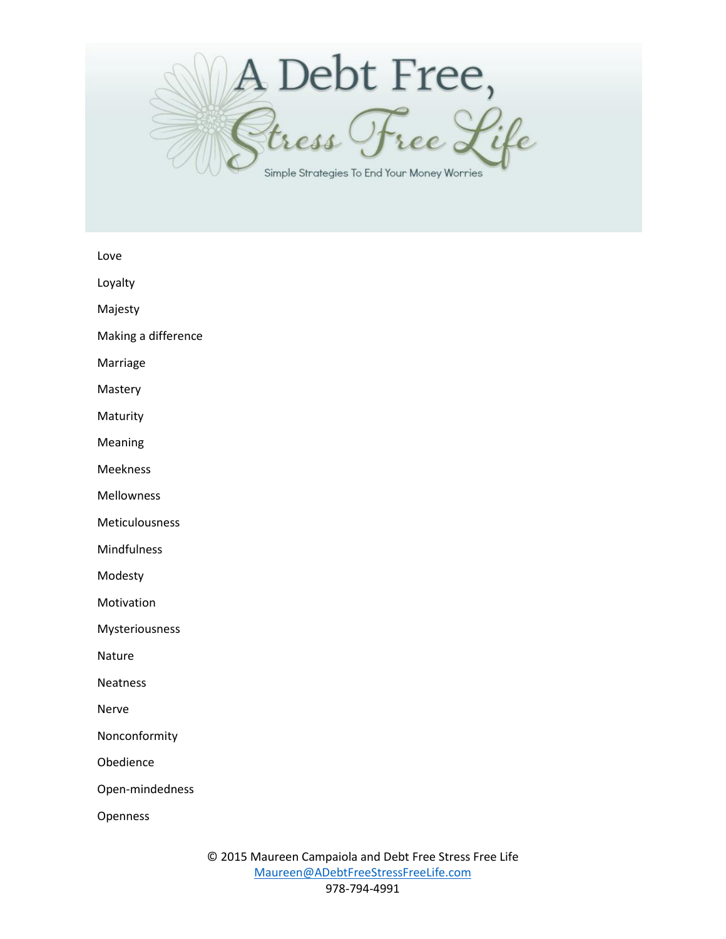

Love

Loyalty

Majesty

Making a difference

Marriage

Mastery

Maturity

Meaning

Meekness

Mellowness

Meticulousness

Mindfulness

Modesty

Motivation

Mysteriousness

Nature

Neatness

Nerve

Nonconformity

Obedience

Open-mindedness

Openness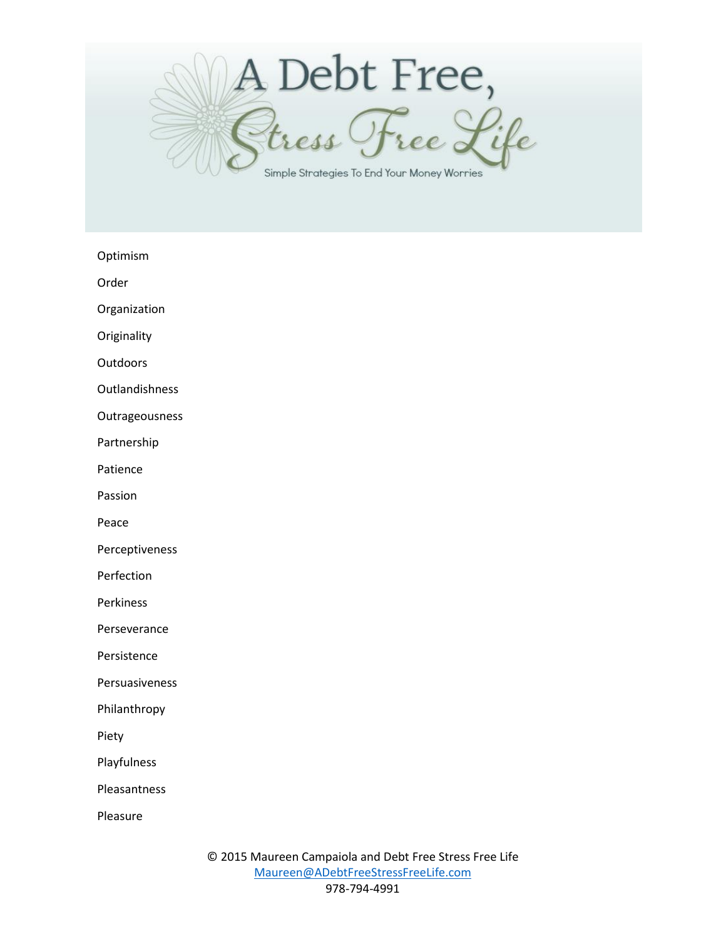

Optimism

Order

Organization

**Originality** 

**Outdoors** 

Outlandishness

Outrageousness

Partnership

Patience

Passion

Peace

Perceptiveness

Perfection

Perkiness

Perseverance

Persistence

Persuasiveness

Philanthropy

Piety

Playfulness

Pleasantness

Pleasure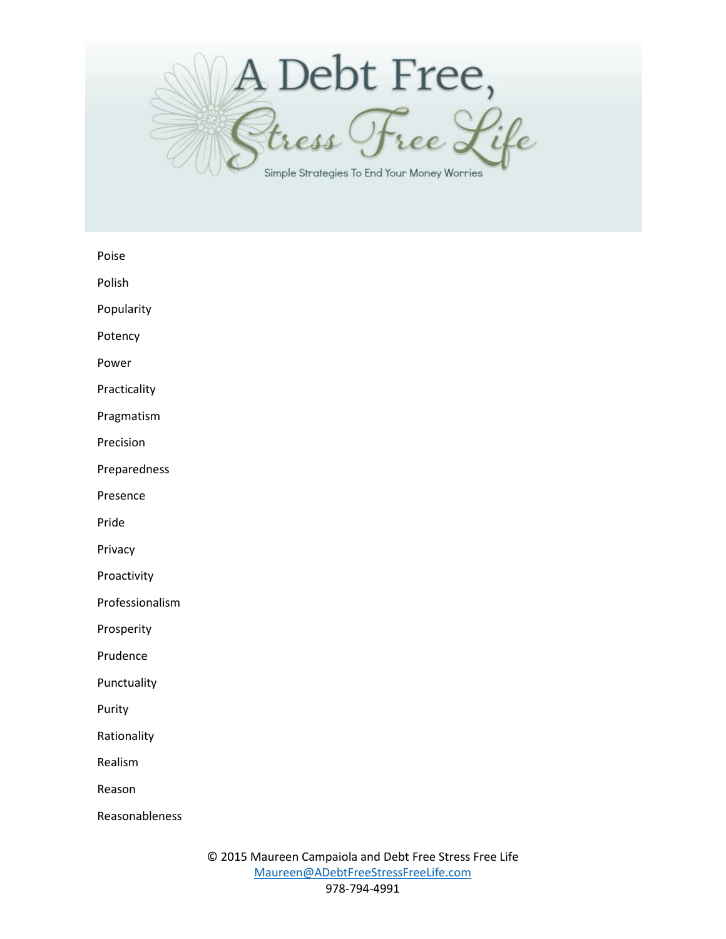

Poise

Polish

Popularity

Potency

Power

Practicality

Pragmatism

Precision

Preparedness

Presence

Pride

Privacy

Proactivity

Professionalism

Prosperity

Prudence

Punctuality

Purity

Rationality

Realism

Reason

Reasonableness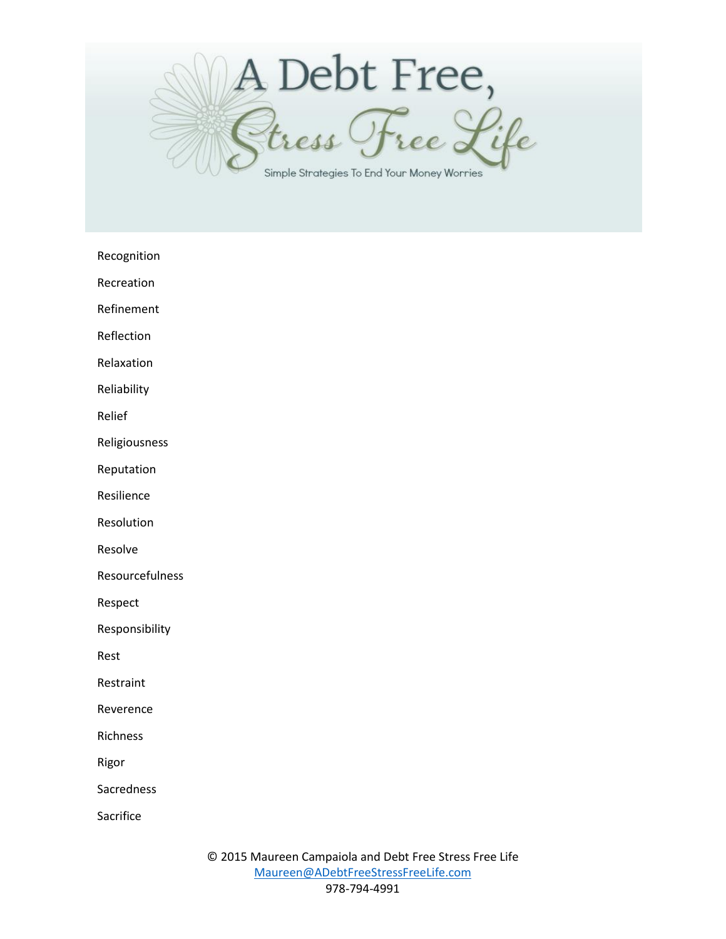

Recognition

Recreation

Refinement

Reflection

Relaxation

Reliability

Relief

Religiousness

Reputation

Resilience

Resolution

Resolve

Resourcefulness

Respect

Responsibility

Rest

Restraint

Reverence

Richness

Rigor

Sacredness

Sacrifice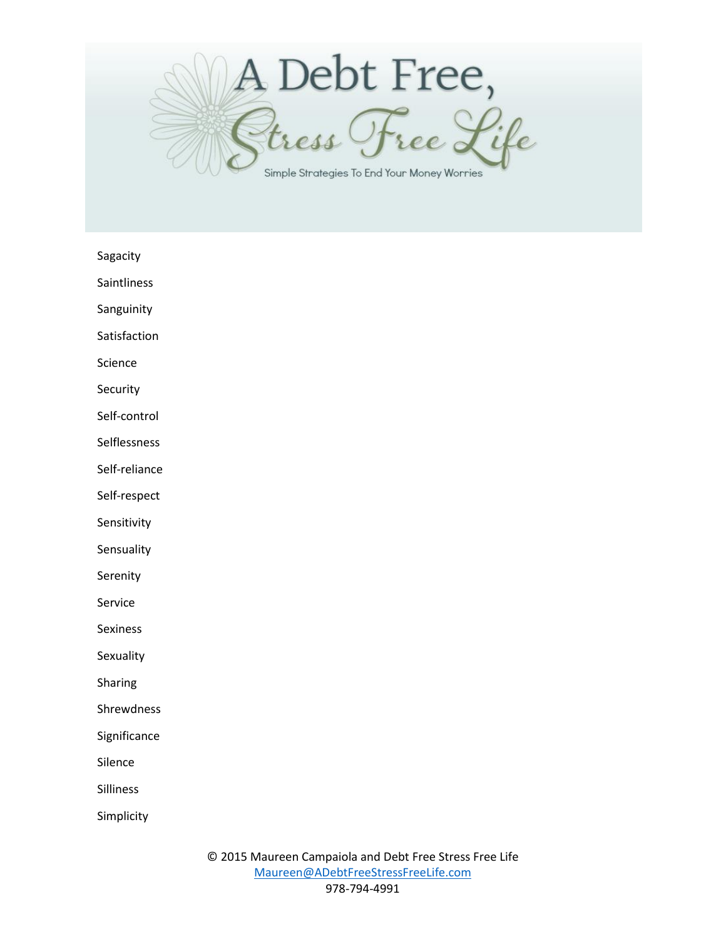

Sagacity

Saintliness

Sanguinity

Satisfaction

Science

Security

Self-control

Selflessness

Self-reliance

Self-respect

Sensitivity

**Sensuality** 

Serenity

Service

Sexiness

**Sexuality** 

Sharing

Shrewdness

Significance

Silence

Silliness

Simplicity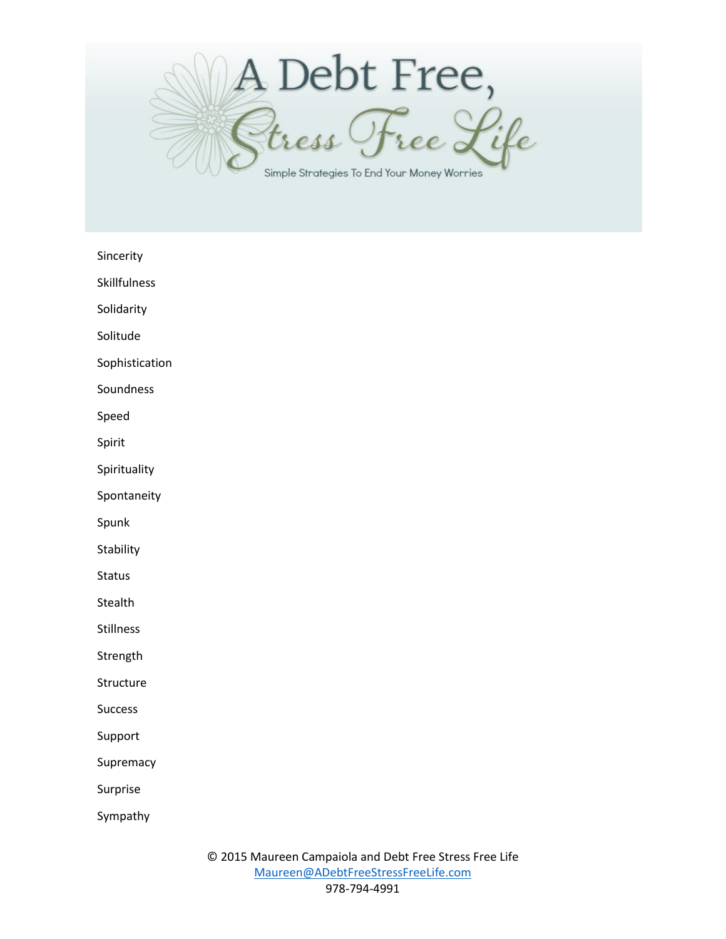

Sincerity

Skillfulness

Solidarity

Solitude

Sophistication

Soundness

Speed

Spirit

Spirituality

Spontaneity

Spunk

**Stability** 

Status

Stealth

Stillness

Strength

**Structure** 

Success

Support

**Supremacy** 

Surprise

Sympathy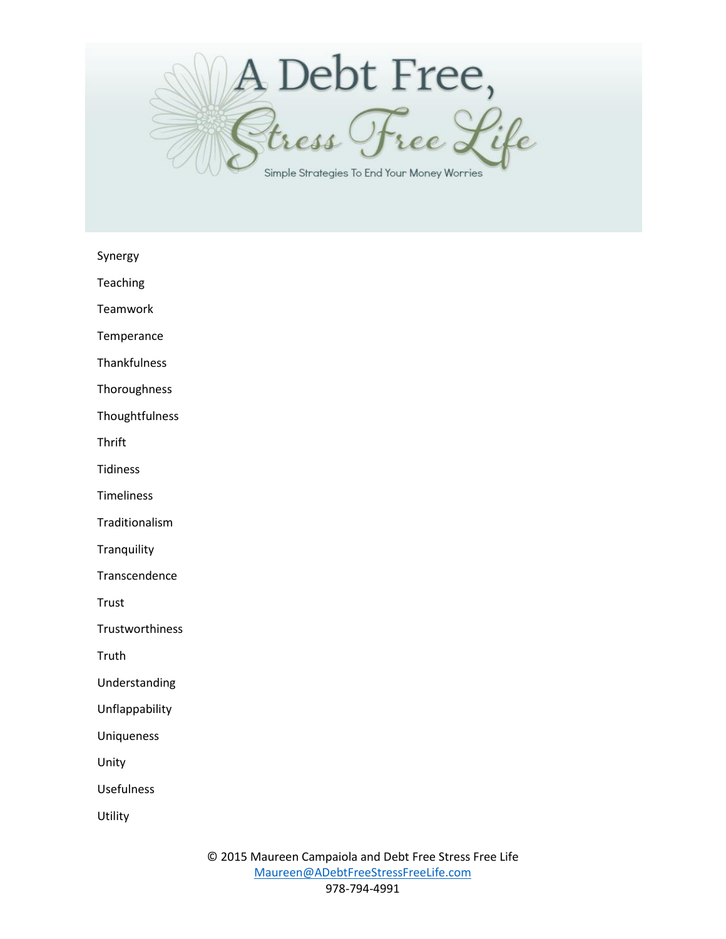

Synergy

Teaching

Teamwork

**Temperance** 

Thankfulness

Thoroughness

Thoughtfulness

**Thrift** 

Tidiness

Timeliness

Traditionalism

**Tranquility** 

Transcendence

Trust

**Trustworthiness** 

Truth

Understanding

Unflappability

Uniqueness

Unity

Usefulness

**Utility**